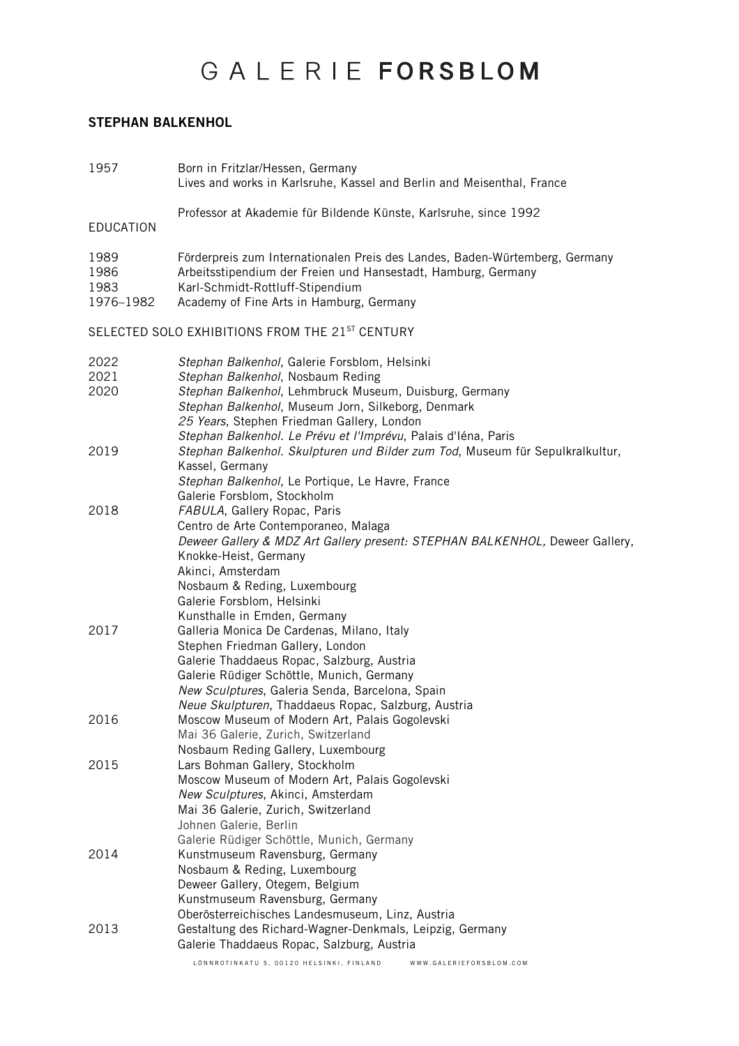#### STEPHAN BALKENHOL

| 1957                              | Born in Fritzlar/Hessen, Germany<br>Lives and works in Karlsruhe, Kassel and Berlin and Meisenthal, France                                                                                                                                                                                                          |
|-----------------------------------|---------------------------------------------------------------------------------------------------------------------------------------------------------------------------------------------------------------------------------------------------------------------------------------------------------------------|
| <b>EDUCATION</b>                  | Professor at Akademie für Bildende Künste, Karlsruhe, since 1992                                                                                                                                                                                                                                                    |
| 1989<br>1986<br>1983<br>1976-1982 | Förderpreis zum Internationalen Preis des Landes, Baden-Würtemberg, Germany<br>Arbeitsstipendium der Freien und Hansestadt, Hamburg, Germany<br>Karl-Schmidt-Rottluff-Stipendium<br>Academy of Fine Arts in Hamburg, Germany                                                                                        |
|                                   | SELECTED SOLO EXHIBITIONS FROM THE 21 <sup>ST</sup> CENTURY                                                                                                                                                                                                                                                         |
| 2022<br>2021<br>2020              | Stephan Balkenhol, Galerie Forsblom, Helsinki<br>Stephan Balkenhol, Nosbaum Reding<br>Stephan Balkenhol, Lehmbruck Museum, Duisburg, Germany<br>Stephan Balkenhol, Museum Jorn, Silkeborg, Denmark<br>25 Years, Stephen Friedman Gallery, London                                                                    |
| 2019                              | Stephan Balkenhol. Le Prévu et l'Imprévu, Palais d'Iéna, Paris<br>Stephan Balkenhol. Skulpturen und Bilder zum Tod, Museum für Sepulkralkultur,<br>Kassel, Germany<br>Stephan Balkenhol, Le Portique, Le Havre, France<br>Galerie Forsblom, Stockholm                                                               |
| 2018                              | FABULA, Gallery Ropac, Paris<br>Centro de Arte Contemporaneo, Malaga<br>Deweer Gallery & MDZ Art Gallery present: STEPHAN BALKENHOL, Deweer Gallery,<br>Knokke-Heist, Germany<br>Akinci, Amsterdam<br>Nosbaum & Reding, Luxembourg<br>Galerie Forsblom, Helsinki                                                    |
| 2017                              | Kunsthalle in Emden, Germany<br>Galleria Monica De Cardenas, Milano, Italy<br>Stephen Friedman Gallery, London<br>Galerie Thaddaeus Ropac, Salzburg, Austria<br>Galerie Rüdiger Schöttle, Munich, Germany<br>New Sculptures, Galeria Senda, Barcelona, Spain<br>Neue Skulpturen, Thaddaeus Ropac, Salzburg, Austria |
| 2016                              | Moscow Museum of Modern Art, Palais Gogolevski<br>Mai 36 Galerie, Zurich, Switzerland<br>Nosbaum Reding Gallery, Luxembourg                                                                                                                                                                                         |
| 2015                              | Lars Bohman Gallery, Stockholm<br>Moscow Museum of Modern Art, Palais Gogolevski<br>New Sculptures, Akinci, Amsterdam<br>Mai 36 Galerie, Zurich, Switzerland<br>Johnen Galerie, Berlin<br>Galerie Rüdiger Schöttle, Munich, Germany                                                                                 |
| 2014                              | Kunstmuseum Ravensburg, Germany<br>Nosbaum & Reding, Luxembourg<br>Deweer Gallery, Otegem, Belgium<br>Kunstmuseum Ravensburg, Germany<br>Oberösterreichisches Landesmuseum, Linz, Austria                                                                                                                           |
| 2013                              | Gestaltung des Richard-Wagner-Denkmals, Leipzig, Germany<br>Galerie Thaddaeus Ropac, Salzburg, Austria                                                                                                                                                                                                              |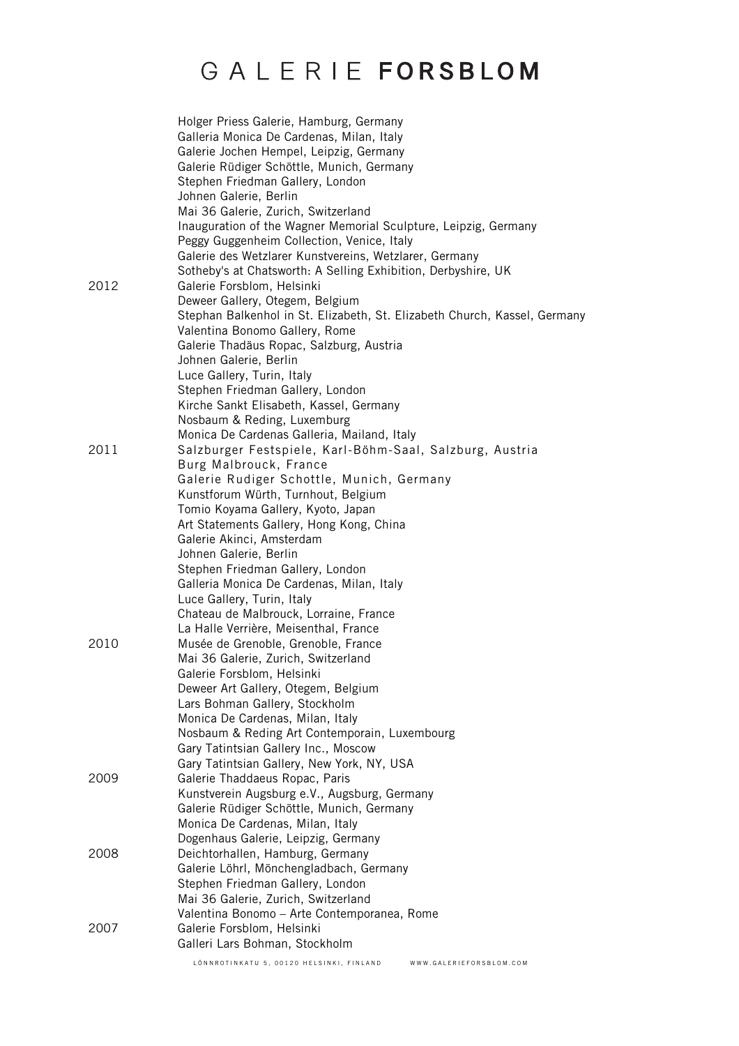|      | Holger Priess Galerie, Hamburg, Germany<br>Galleria Monica De Cardenas, Milan, Italy<br>Galerie Jochen Hempel, Leipzig, Germany<br>Galerie Rüdiger Schöttle, Munich, Germany<br>Stephen Friedman Gallery, London<br>Johnen Galerie, Berlin<br>Mai 36 Galerie, Zurich, Switzerland<br>Inauguration of the Wagner Memorial Sculpture, Leipzig, Germany<br>Peggy Guggenheim Collection, Venice, Italy<br>Galerie des Wetzlarer Kunstvereins, Wetzlarer, Germany                                                                                                                                                                                                      |
|------|-------------------------------------------------------------------------------------------------------------------------------------------------------------------------------------------------------------------------------------------------------------------------------------------------------------------------------------------------------------------------------------------------------------------------------------------------------------------------------------------------------------------------------------------------------------------------------------------------------------------------------------------------------------------|
| 2012 | Sotheby's at Chatsworth: A Selling Exhibition, Derbyshire, UK<br>Galerie Forsblom, Helsinki<br>Deweer Gallery, Otegem, Belgium<br>Stephan Balkenhol in St. Elizabeth, St. Elizabeth Church, Kassel, Germany<br>Valentina Bonomo Gallery, Rome<br>Galerie Thadäus Ropac, Salzburg, Austria                                                                                                                                                                                                                                                                                                                                                                         |
|      | Johnen Galerie, Berlin<br>Luce Gallery, Turin, Italy<br>Stephen Friedman Gallery, London<br>Kirche Sankt Elisabeth, Kassel, Germany<br>Nosbaum & Reding, Luxemburg                                                                                                                                                                                                                                                                                                                                                                                                                                                                                                |
| 2011 | Monica De Cardenas Galleria, Mailand, Italy<br>Salzburger Festspiele, Karl-Böhm-Saal, Salzburg, Austria<br>Burg Malbrouck, France<br>Galerie Rudiger Schottle, Munich, Germany<br>Kunstforum Würth, Turnhout, Belgium<br>Tomio Koyama Gallery, Kyoto, Japan                                                                                                                                                                                                                                                                                                                                                                                                       |
| 2010 | Art Statements Gallery, Hong Kong, China<br>Galerie Akinci, Amsterdam<br>Johnen Galerie, Berlin<br>Stephen Friedman Gallery, London<br>Galleria Monica De Cardenas, Milan, Italy<br>Luce Gallery, Turin, Italy<br>Chateau de Malbrouck, Lorraine, France<br>La Halle Verrière, Meisenthal, France<br>Musée de Grenoble, Grenoble, France<br>Mai 36 Galerie, Zurich, Switzerland<br>Galerie Forsblom, Helsinki<br>Deweer Art Gallery, Otegem, Belgium<br>Lars Bohman Gallery, Stockholm<br>Monica De Cardenas, Milan, Italy<br>Nosbaum & Reding Art Contemporain, Luxembourg<br>Gary Tatintsian Gallery Inc., Moscow<br>Gary Tatintsian Gallery, New York, NY, USA |
| 2009 | Galerie Thaddaeus Ropac, Paris<br>Kunstverein Augsburg e.V., Augsburg, Germany<br>Galerie Rüdiger Schöttle, Munich, Germany<br>Monica De Cardenas, Milan, Italy                                                                                                                                                                                                                                                                                                                                                                                                                                                                                                   |
| 2008 | Dogenhaus Galerie, Leipzig, Germany<br>Deichtorhallen, Hamburg, Germany<br>Galerie Löhrl, Mönchengladbach, Germany<br>Stephen Friedman Gallery, London<br>Mai 36 Galerie, Zurich, Switzerland                                                                                                                                                                                                                                                                                                                                                                                                                                                                     |
| 2007 | Valentina Bonomo - Arte Contemporanea, Rome<br>Galerie Forsblom, Helsinki<br>Galleri Lars Bohman, Stockholm                                                                                                                                                                                                                                                                                                                                                                                                                                                                                                                                                       |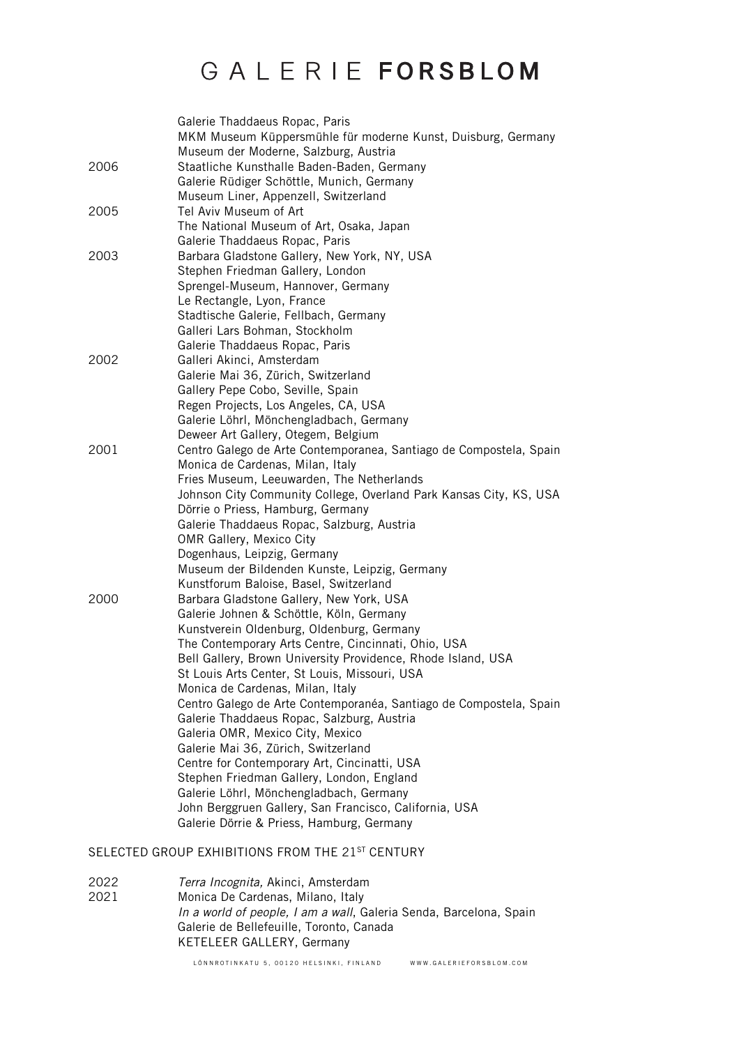|      | Galerie Thaddaeus Ropac, Paris                                                                      |
|------|-----------------------------------------------------------------------------------------------------|
|      | MKM Museum Küppersmühle für moderne Kunst, Duisburg, Germany                                        |
|      | Museum der Moderne, Salzburg, Austria                                                               |
| 2006 | Staatliche Kunsthalle Baden-Baden, Germany                                                          |
|      | Galerie Rüdiger Schöttle, Munich, Germany                                                           |
|      | Museum Liner, Appenzell, Switzerland                                                                |
| 2005 | Tel Aviv Museum of Art                                                                              |
|      | The National Museum of Art, Osaka, Japan                                                            |
|      | Galerie Thaddaeus Ropac, Paris                                                                      |
| 2003 | Barbara Gladstone Gallery, New York, NY, USA                                                        |
|      | Stephen Friedman Gallery, London                                                                    |
|      | Sprengel-Museum, Hannover, Germany                                                                  |
|      | Le Rectangle, Lyon, France                                                                          |
|      | Stadtische Galerie, Fellbach, Germany                                                               |
|      | Galleri Lars Bohman, Stockholm                                                                      |
|      | Galerie Thaddaeus Ropac, Paris                                                                      |
| 2002 | Galleri Akinci, Amsterdam                                                                           |
|      | Galerie Mai 36, Zürich, Switzerland                                                                 |
|      | Gallery Pepe Cobo, Seville, Spain                                                                   |
|      | Regen Projects, Los Angeles, CA, USA                                                                |
|      | Galerie Löhrl, Mönchengladbach, Germany                                                             |
|      | Deweer Art Gallery, Otegem, Belgium                                                                 |
| 2001 | Centro Galego de Arte Contemporanea, Santiago de Compostela, Spain                                  |
|      | Monica de Cardenas, Milan, Italy                                                                    |
|      | Fries Museum, Leeuwarden, The Netherlands                                                           |
|      | Johnson City Community College, Overland Park Kansas City, KS, USA                                  |
|      | Dörrie o Priess, Hamburg, Germany                                                                   |
|      | Galerie Thaddaeus Ropac, Salzburg, Austria                                                          |
|      | <b>OMR Gallery, Mexico City</b>                                                                     |
|      | Dogenhaus, Leipzig, Germany                                                                         |
|      | Museum der Bildenden Kunste, Leipzig, Germany                                                       |
|      | Kunstforum Baloise, Basel, Switzerland                                                              |
| 2000 | Barbara Gladstone Gallery, New York, USA                                                            |
|      | Galerie Johnen & Schöttle, Köln, Germany                                                            |
|      | Kunstverein Oldenburg, Oldenburg, Germany                                                           |
|      | The Contemporary Arts Centre, Cincinnati, Ohio, USA                                                 |
|      | Bell Gallery, Brown University Providence, Rhode Island, USA                                        |
|      | St Louis Arts Center, St Louis, Missouri, USA                                                       |
|      | Monica de Cardenas, Milan, Italy                                                                    |
|      | Centro Galego de Arte Contemporanéa, Santiago de Compostela, Spain                                  |
|      | Galerie Thaddaeus Ropac, Salzburg, Austria                                                          |
|      | Galeria OMR, Mexico City, Mexico                                                                    |
|      | Galerie Mai 36, Zürich, Switzerland                                                                 |
|      | Centre for Contemporary Art, Cincinatti, USA                                                        |
|      | Stephen Friedman Gallery, London, England                                                           |
|      | Galerie Löhrl, Mönchengladbach, Germany                                                             |
|      | John Berggruen Gallery, San Francisco, California, USA<br>Galerie Dörrie & Priess, Hamburg, Germany |
|      |                                                                                                     |
|      |                                                                                                     |

#### SELECTED GROUP EXHIBITIONS FROM THE 21ST CENTURY

2022 *Terra Incognita,* Akinci, Amsterdam Monica De Cardenas, Milano, Italy *In a world of people, I am a wall*, Galeria Senda, Barcelona, Spain Galerie de Bellefeuille, Toronto, Canada KETELEER GALLERY, Germany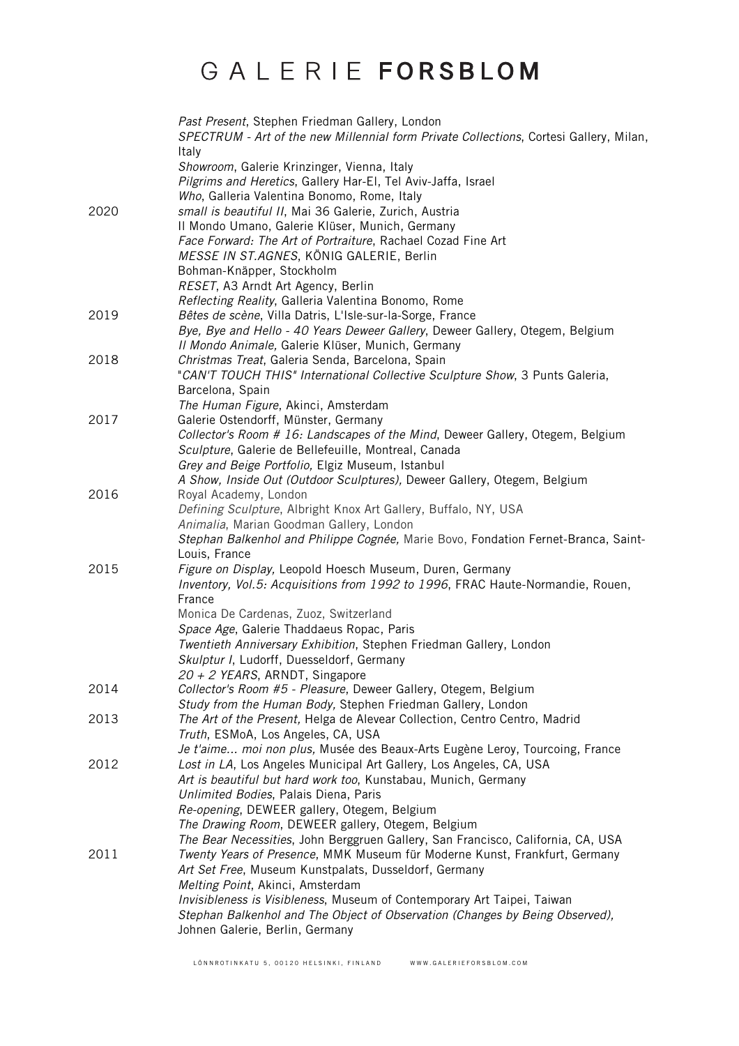|      | Past Present, Stephen Friedman Gallery, London<br>SPECTRUM - Art of the new Millennial form Private Collections, Cortesi Gallery, Milan,<br>Italy |
|------|---------------------------------------------------------------------------------------------------------------------------------------------------|
|      | Showroom, Galerie Krinzinger, Vienna, Italy<br>Pilgrims and Heretics, Gallery Har-El, Tel Aviv-Jaffa, Israel                                      |
|      | Who, Galleria Valentina Bonomo, Rome, Italy                                                                                                       |
| 2020 | small is beautiful II, Mai 36 Galerie, Zurich, Austria                                                                                            |
|      | II Mondo Umano, Galerie Klüser, Munich, Germany<br>Face Forward: The Art of Portraiture, Rachael Cozad Fine Art                                   |
|      | MESSE IN ST.AGNES, KÖNIG GALERIE, Berlin                                                                                                          |
|      | Bohman-Knäpper, Stockholm                                                                                                                         |
|      | RESET, A3 Arndt Art Agency, Berlin                                                                                                                |
|      | Reflecting Reality, Galleria Valentina Bonomo, Rome                                                                                               |
| 2019 | Bêtes de scène, Villa Datris, L'Isle-sur-la-Sorge, France                                                                                         |
|      | Bye, Bye and Hello - 40 Years Deweer Gallery, Deweer Gallery, Otegem, Belgium<br>Il Mondo Animale, Galerie Klüser, Munich, Germany                |
| 2018 | Christmas Treat, Galeria Senda, Barcelona, Spain                                                                                                  |
|      | "CAN'T TOUCH THIS" International Collective Sculpture Show, 3 Punts Galeria,                                                                      |
|      | Barcelona, Spain                                                                                                                                  |
| 2017 | The Human Figure, Akinci, Amsterdam<br>Galerie Ostendorff, Münster, Germany                                                                       |
|      | Collector's Room # 16: Landscapes of the Mind, Deweer Gallery, Otegem, Belgium                                                                    |
|      | Sculpture, Galerie de Bellefeuille, Montreal, Canada                                                                                              |
|      | Grey and Beige Portfolio, Elgiz Museum, Istanbul                                                                                                  |
|      | A Show, Inside Out (Outdoor Sculptures), Deweer Gallery, Otegem, Belgium                                                                          |
| 2016 | Royal Academy, London                                                                                                                             |
|      | Defining Sculpture, Albright Knox Art Gallery, Buffalo, NY, USA                                                                                   |
|      | Animalia, Marian Goodman Gallery, London                                                                                                          |
|      | Stephan Balkenhol and Philippe Cognée, Marie Bovo, Fondation Fernet-Branca, Saint-                                                                |
| 2015 | Louis, France<br>Figure on Display, Leopold Hoesch Museum, Duren, Germany                                                                         |
|      | Inventory, Vol.5: Acquisitions from 1992 to 1996, FRAC Haute-Normandie, Rouen,                                                                    |
|      | France                                                                                                                                            |
|      | Monica De Cardenas, Zuoz, Switzerland                                                                                                             |
|      | Space Age, Galerie Thaddaeus Ropac, Paris                                                                                                         |
|      | Twentieth Anniversary Exhibition, Stephen Friedman Gallery, London                                                                                |
|      | Skulptur I, Ludorff, Duesseldorf, Germany                                                                                                         |
|      | $20 + 2$ YEARS, ARNDT, Singapore                                                                                                                  |
| 2014 | Collector's Room #5 - Pleasure, Deweer Gallery, Otegem, Belgium                                                                                   |
| 2013 | Study from the Human Body, Stephen Friedman Gallery, London<br>The Art of the Present, Helga de Alevear Collection, Centro Centro, Madrid         |
|      | Truth, ESMoA, Los Angeles, CA, USA                                                                                                                |
|      | Je t'aime moi non plus, Musée des Beaux-Arts Eugène Leroy, Tourcoing, France                                                                      |
| 2012 | Lost in LA, Los Angeles Municipal Art Gallery, Los Angeles, CA, USA                                                                               |
|      | Art is beautiful but hard work too, Kunstabau, Munich, Germany                                                                                    |
|      | Unlimited Bodies, Palais Diena, Paris                                                                                                             |
|      | Re-opening, DEWEER gallery, Otegem, Belgium                                                                                                       |
|      | The Drawing Room, DEWEER gallery, Otegem, Belgium                                                                                                 |
|      | The Bear Necessities, John Berggruen Gallery, San Francisco, California, CA, USA                                                                  |
| 2011 | Twenty Years of Presence, MMK Museum für Moderne Kunst, Frankfurt, Germany                                                                        |
|      | Art Set Free, Museum Kunstpalats, Dusseldorf, Germany                                                                                             |
|      | Melting Point, Akinci, Amsterdam<br>Invisibleness is Visibleness, Museum of Contemporary Art Taipei, Taiwan                                       |
|      | Stephan Balkenhol and The Object of Observation (Changes by Being Observed),                                                                      |
|      | Johnen Galerie, Berlin, Germany                                                                                                                   |
|      |                                                                                                                                                   |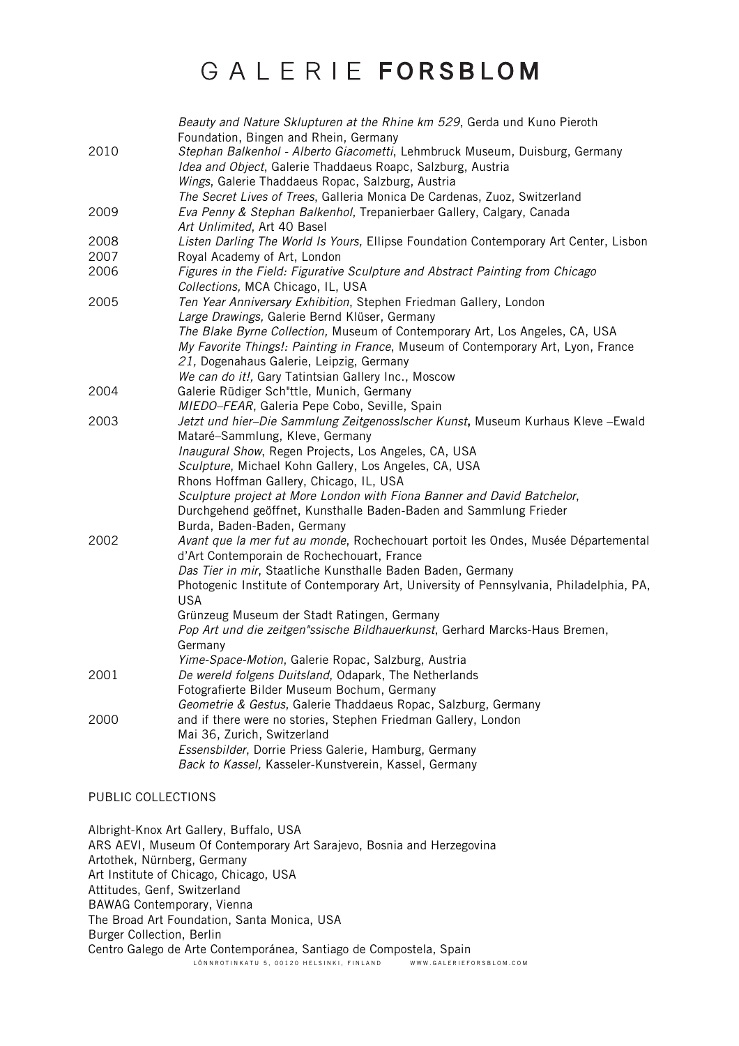|      | Beauty and Nature Sklupturen at the Rhine km 529, Gerda und Kuno Pieroth                                           |
|------|--------------------------------------------------------------------------------------------------------------------|
| 2010 | Foundation, Bingen and Rhein, Germany                                                                              |
|      | Stephan Balkenhol - Alberto Giacometti, Lehmbruck Museum, Duisburg, Germany                                        |
|      | Idea and Object, Galerie Thaddaeus Roapc, Salzburg, Austria                                                        |
|      | Wings, Galerie Thaddaeus Ropac, Salzburg, Austria                                                                  |
|      | The Secret Lives of Trees, Galleria Monica De Cardenas, Zuoz, Switzerland                                          |
| 2009 | Eva Penny & Stephan Balkenhol, Trepanierbaer Gallery, Calgary, Canada                                              |
|      | Art Unlimited, Art 40 Basel                                                                                        |
| 2008 | Listen Darling The World Is Yours, Ellipse Foundation Contemporary Art Center, Lisbon                              |
| 2007 | Royal Academy of Art, London                                                                                       |
| 2006 | Figures in the Field: Figurative Sculpture and Abstract Painting from Chicago<br>Collections, MCA Chicago, IL, USA |
| 2005 | Ten Year Anniversary Exhibition, Stephen Friedman Gallery, London                                                  |
|      | Large Drawings, Galerie Bernd Klüser, Germany                                                                      |
|      | The Blake Byrne Collection, Museum of Contemporary Art, Los Angeles, CA, USA                                       |
|      | My Favorite Things!: Painting in France, Museum of Contemporary Art, Lyon, France                                  |
|      | 21, Dogenahaus Galerie, Leipzig, Germany                                                                           |
|      | We can do it!, Gary Tatintsian Gallery Inc., Moscow                                                                |
| 2004 | Galerie Rüdiger Sch"ttle, Munich, Germany                                                                          |
|      | MIEDO-FEAR, Galeria Pepe Cobo, Seville, Spain                                                                      |
| 2003 | Jetzt und hier-Die Sammlung Zeitgenosslscher Kunst, Museum Kurhaus Kleve - Ewald                                   |
|      | Mataré-Sammlung, Kleve, Germany                                                                                    |
|      | Inaugural Show, Regen Projects, Los Angeles, CA, USA                                                               |
|      | Sculpture, Michael Kohn Gallery, Los Angeles, CA, USA                                                              |
|      | Rhons Hoffman Gallery, Chicago, IL, USA                                                                            |
|      | Sculpture project at More London with Fiona Banner and David Batchelor,                                            |
|      | Durchgehend geöffnet, Kunsthalle Baden-Baden and Sammlung Frieder                                                  |
|      | Burda, Baden-Baden, Germany                                                                                        |
| 2002 | Avant que la mer fut au monde, Rochechouart portoit les Ondes, Musée Départemental                                 |
|      | d'Art Contemporain de Rochechouart, France                                                                         |
|      | Das Tier in mir, Staatliche Kunsthalle Baden Baden, Germany                                                        |
|      | Photogenic Institute of Contemporary Art, University of Pennsylvania, Philadelphia, PA,                            |
|      | <b>USA</b>                                                                                                         |
|      | Grünzeug Museum der Stadt Ratingen, Germany                                                                        |
|      | Pop Art und die zeitgen"ssische Bildhauerkunst, Gerhard Marcks-Haus Bremen,                                        |
|      | Germany                                                                                                            |
|      | Yime-Space-Motion, Galerie Ropac, Salzburg, Austria                                                                |
| 2001 | De wereld folgens Duitsland, Odapark, The Netherlands                                                              |
|      | Fotografierte Bilder Museum Bochum, Germany                                                                        |
|      | Geometrie & Gestus, Galerie Thaddaeus Ropac, Salzburg, Germany                                                     |
| 2000 | and if there were no stories, Stephen Friedman Gallery, London                                                     |
|      | Mai 36, Zurich, Switzerland                                                                                        |
|      | Essensbilder, Dorrie Priess Galerie, Hamburg, Germany                                                              |
|      | Back to Kassel, Kasseler-Kunstverein, Kassel, Germany                                                              |

#### PUBLIC COLLECTIONS

LÖNNROTINKATU 5, 00120 HELSINKI, FINLAND WWW.GALERIEFORSBLOM.COM Albright-Knox Art Gallery, Buffalo, USA ARS AEVI, Museum Of Contemporary Art Sarajevo, Bosnia and Herzegovina Artothek, Nürnberg, Germany Art Institute of Chicago, Chicago, USA Attitudes, Genf, Switzerland BAWAG Contemporary, Vienna The Broad Art Foundation, Santa Monica, USA Burger Collection, Berlin Centro Galego de Arte Contemporánea, Santiago de Compostela, Spain